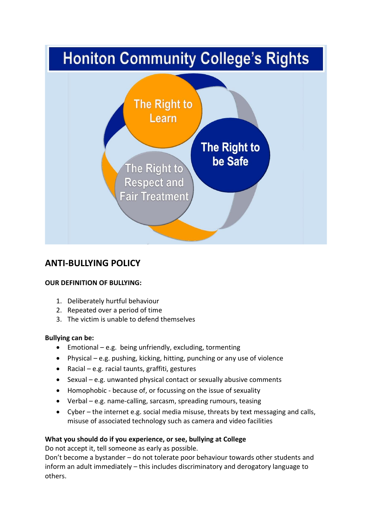

# **ANTI-BULLYING POLICY**

# **OUR DEFINITION OF BULLYING:**

- 1. Deliberately hurtful behaviour
- 2. Repeated over a period of time
- 3. The victim is unable to defend themselves

# **Bullying can be:**

- Emotional e.g. being unfriendly, excluding, tormenting
- Physical e.g. pushing, kicking, hitting, punching or any use of violence
- Racial e.g. racial taunts, graffiti, gestures
- Sexual e.g. unwanted physical contact or sexually abusive comments
- Homophobic because of, or focussing on the issue of sexuality
- Verbal e.g. name-calling, sarcasm, spreading rumours, teasing
- Cyber the internet e.g. social media misuse, threats by text messaging and calls, misuse of associated technology such as camera and video facilities

# **What you should do if you experience, or see, bullying at College**

Do not accept it, tell someone as early as possible.

Don't become a bystander – do not tolerate poor behaviour towards other students and inform an adult immediately – this includes discriminatory and derogatory language to others.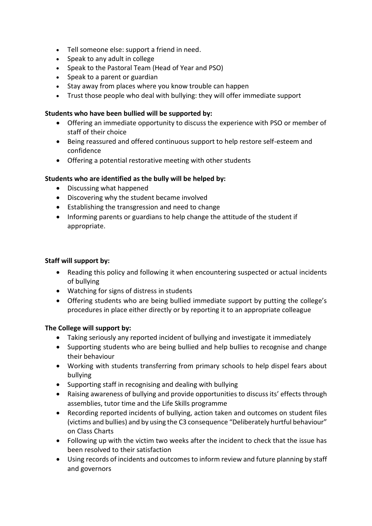- Tell someone else: support a friend in need.
- Speak to any adult in college
- Speak to the Pastoral Team (Head of Year and PSO)
- Speak to a parent or guardian
- Stay away from places where you know trouble can happen
- Trust those people who deal with bullying: they will offer immediate support

# **Students who have been bullied will be supported by:**

- Offering an immediate opportunity to discuss the experience with PSO or member of staff of their choice
- Being reassured and offered continuous support to help restore self-esteem and confidence
- Offering a potential restorative meeting with other students

# **Students who are identified as the bully will be helped by:**

- Discussing what happened
- Discovering why the student became involved
- Establishing the transgression and need to change
- Informing parents or guardians to help change the attitude of the student if appropriate.

## **Staff will support by:**

- Reading this policy and following it when encountering suspected or actual incidents of bullying
- Watching for signs of distress in students
- Offering students who are being bullied immediate support by putting the college's procedures in place either directly or by reporting it to an appropriate colleague

# **The College will support by:**

- Taking seriously any reported incident of bullying and investigate it immediately
- Supporting students who are being bullied and help bullies to recognise and change their behaviour
- Working with students transferring from primary schools to help dispel fears about bullying
- Supporting staff in recognising and dealing with bullying
- Raising awareness of bullying and provide opportunities to discuss its' effects through assemblies, tutor time and the Life Skills programme
- Recording reported incidents of bullying, action taken and outcomes on student files (victims and bullies) and by using the C3 consequence "Deliberately hurtful behaviour" on Class Charts
- Following up with the victim two weeks after the incident to check that the issue has been resolved to their satisfaction
- Using records of incidents and outcomes to inform review and future planning by staff and governors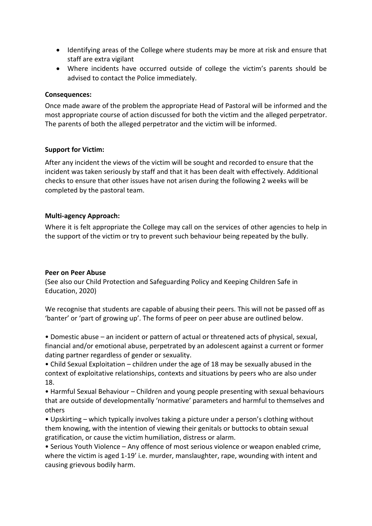- Identifying areas of the College where students may be more at risk and ensure that staff are extra vigilant
- Where incidents have occurred outside of college the victim's parents should be advised to contact the Police immediately.

### **Consequences:**

Once made aware of the problem the appropriate Head of Pastoral will be informed and the most appropriate course of action discussed for both the victim and the alleged perpetrator. The parents of both the alleged perpetrator and the victim will be informed.

### **Support for Victim:**

After any incident the views of the victim will be sought and recorded to ensure that the incident was taken seriously by staff and that it has been dealt with effectively. Additional checks to ensure that other issues have not arisen during the following 2 weeks will be completed by the pastoral team.

#### **Multi-agency Approach:**

Where it is felt appropriate the College may call on the services of other agencies to help in the support of the victim or try to prevent such behaviour being repeated by the bully.

#### **Peer on Peer Abuse**

(See also our Child Protection and Safeguarding Policy and Keeping Children Safe in Education, 2020)

We recognise that students are capable of abusing their peers. This will not be passed off as 'banter' or 'part of growing up'. The forms of peer on peer abuse are outlined below.

• Domestic abuse – an incident or pattern of actual or threatened acts of physical, sexual, financial and/or emotional abuse, perpetrated by an adolescent against a current or former dating partner regardless of gender or sexuality.

• Child Sexual Exploitation – children under the age of 18 may be sexually abused in the context of exploitative relationships, contexts and situations by peers who are also under 18.

• Harmful Sexual Behaviour – Children and young people presenting with sexual behaviours that are outside of developmentally 'normative' parameters and harmful to themselves and others

• Upskirting – which typically involves taking a picture under a person's clothing without them knowing, with the intention of viewing their genitals or buttocks to obtain sexual gratification, or cause the victim humiliation, distress or alarm.

• Serious Youth Violence – Any offence of most serious violence or weapon enabled crime, where the victim is aged 1-19' i.e. murder, manslaughter, rape, wounding with intent and causing grievous bodily harm.